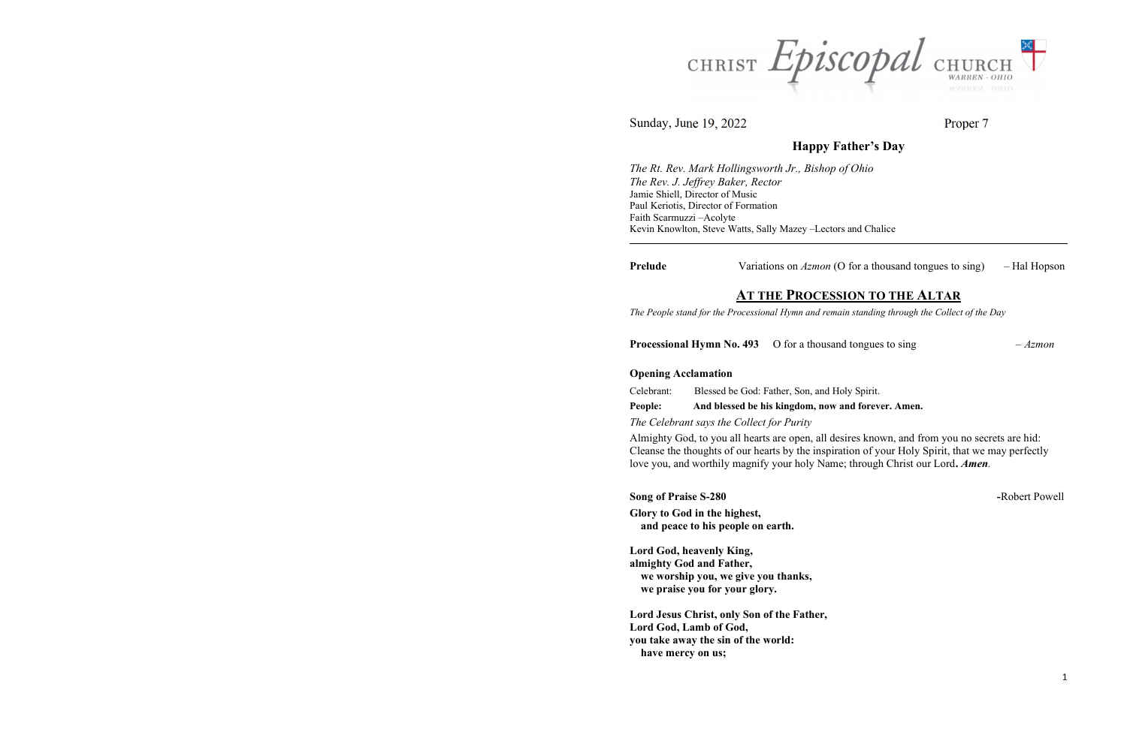

Sunday, June 19, 2022 Proper 7

# Happy Father's Day

# AT THE PROCESSION TO THE ALTAR

The Rt. Rev. Mark Hollingsworth Jr., Bishop of Ohio The Rev. J. Jeffrey Baker, Rector Jamie Shiell, Director of Music Paul Keriotis, Director of Formation Faith Scarmuzzi –Acolyte Kevin Knowlton, Steve Watts, Sally Mazey –Lectors and Chalice

Prelude Variations on *Azmon* (O for a thousand tongues to sing) – Hal Hopson

Almighty God, to you all hearts are open, all desires known, and from you no secrets are hid: Cleanse the thoughts of our hearts by the inspiration of your Holy Spirit, that we may perfectly love you, and worthily magnify your holy Name; through Christ our Lord. Amen.

# Song of Praise S-280 -Robert Powell

The People stand for the Processional Hymn and remain standing through the Collect of the Day

**Processional Hymn No. 493** O for a thousand tongues to sing  $-Azmon$ 

# Opening Acclamation

Celebrant: Blessed be God: Father, Son, and Holy Spirit. People: And blessed be his kingdom, now and forever. Amen.

The Celebrant says the Collect for Purity

Glory to God in the highest, and peace to his people on earth.

Lord God, heavenly King, almighty God and Father, we worship you, we give you thanks, we praise you for your glory.

Lord Jesus Christ, only Son of the Father, Lord God, Lamb of God, you take away the sin of the world: have mercy on us;

CHRIST Episcopal CHURCH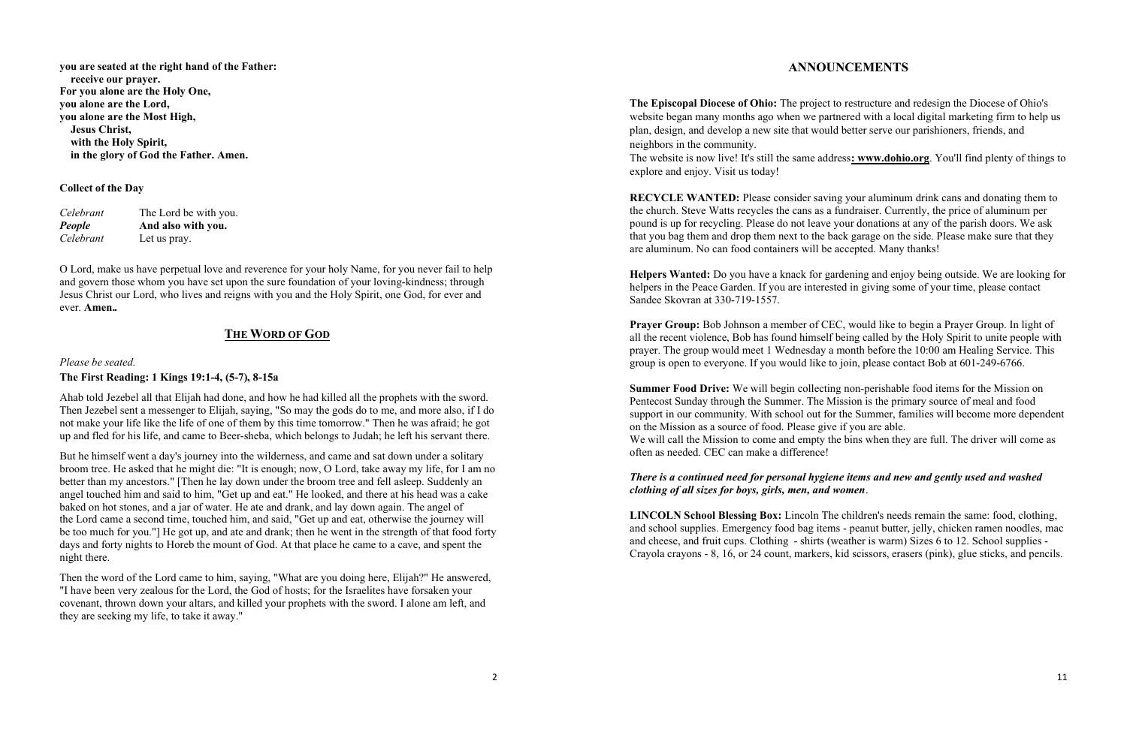you are seated at the right hand of the Father: receive our prayer. For you alone are the Holy One, you alone are the Lord, you alone are the Most High, Jesus Christ, with the Holy Spirit, in the glory of God the Father. Amen.

# Collect of the Day

| Celebrant | The Lord be with you. |
|-----------|-----------------------|
| People    | And also with you.    |
| Celebrant | Let us pray.          |

O Lord, make us have perpetual love and reverence for your holy Name, for you never fail to help and govern those whom you have set upon the sure foundation of your loving-kindness; through Jesus Christ our Lord, who lives and reigns with you and the Holy Spirit, one God, for ever and ever. Amen..

# THE WORD OF GOD

### Please be seated.

The First Reading: 1 Kings 19:1-4, (5-7), 8-15a

Ahab told Jezebel all that Elijah had done, and how he had killed all the prophets with the sword. Then Jezebel sent a messenger to Elijah, saying, "So may the gods do to me, and more also, if I do not make your life like the life of one of them by this time tomorrow." Then he was afraid; he got up and fled for his life, and came to Beer-sheba, which belongs to Judah; he left his servant there.

But he himself went a day's journey into the wilderness, and came and sat down under a solitary broom tree. He asked that he might die: "It is enough; now, O Lord, take away my life, for I am no better than my ancestors." [Then he lay down under the broom tree and fell asleep. Suddenly an angel touched him and said to him, "Get up and eat." He looked, and there at his head was a cake baked on hot stones, and a jar of water. He ate and drank, and lay down again. The angel of the Lord came a second time, touched him, and said, "Get up and eat, otherwise the journey will be too much for you."] He got up, and ate and drank; then he went in the strength of that food forty days and forty nights to Horeb the mount of God. At that place he came to a cave, and spent the night there.

Then the word of the Lord came to him, saying, "What are you doing here, Elijah?" He answered, "I have been very zealous for the Lord, the God of hosts; for the Israelites have forsaken your covenant, thrown down your altars, and killed your prophets with the sword. I alone am left, and they are seeking my life, to take it away."

# ANNOUNCEMENTS

The Episcopal Diocese of Ohio: The project to restructure and redesign the Diocese of Ohio's website began many months ago when we partnered with a local digital marketing firm to help us plan, design, and develop a new site that would better serve our parishioners, friends, and neighbors in the community.

The website is now live! It's still the same address: www.dohio.org. You'll find plenty of things to explore and enjoy. Visit us today!

RECYCLE WANTED: Please consider saving your aluminum drink cans and donating them to the church. Steve Watts recycles the cans as a fundraiser. Currently, the price of aluminum per pound is up for recycling. Please do not leave your donations at any of the parish doors. We ask that you bag them and drop them next to the back garage on the side. Please make sure that they are aluminum. No can food containers will be accepted. Many thanks!

Helpers Wanted: Do you have a knack for gardening and enjoy being outside. We are looking for helpers in the Peace Garden. If you are interested in giving some of your time, please contact Sandee Skovran at 330-719-1557.

Prayer Group: Bob Johnson a member of CEC, would like to begin a Prayer Group. In light of all the recent violence, Bob has found himself being called by the Holy Spirit to unite people with prayer. The group would meet 1 Wednesday a month before the 10:00 am Healing Service. This group is open to everyone. If you would like to join, please contact Bob at 601-249-6766.

Summer Food Drive: We will begin collecting non-perishable food items for the Mission on Pentecost Sunday through the Summer. The Mission is the primary source of meal and food support in our community. With school out for the Summer, families will become more dependent on the Mission as a source of food. Please give if you are able. We will call the Mission to come and empty the bins when they are full. The driver will come as often as needed. CEC can make a difference!

# There is a continued need for personal hygiene items and new and gently used and washed

clothing of all sizes for boys, girls, men, and women.

LINCOLN School Blessing Box: Lincoln The children's needs remain the same: food, clothing, and school supplies. Emergency food bag items - peanut butter, jelly, chicken ramen noodles, mac and cheese, and fruit cups. Clothing - shirts (weather is warm) Sizes 6 to 12. School supplies - Crayola crayons - 8, 16, or 24 count, markers, kid scissors, erasers (pink), glue sticks, and pencils.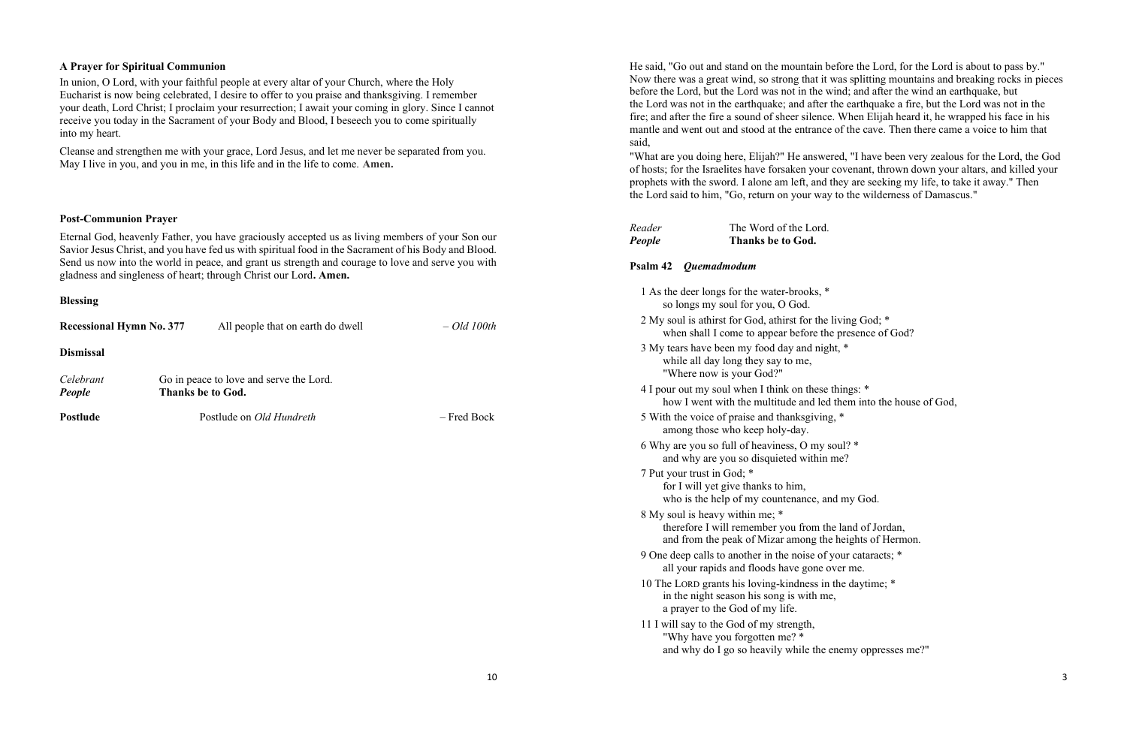# A Prayer for Spiritual Communion

Cleanse and strengthen me with your grace, Lord Jesus, and let me never be separated from you. May I live in you, and you in me, in this life and in the life to come. Amen.

In union, O Lord, with your faithful people at every altar of your Church, where the Holy Eucharist is now being celebrated, I desire to offer to you praise and thanksgiving. I remember your death, Lord Christ; I proclaim your resurrection; I await your coming in glory. Since I cannot receive you today in the Sacrament of your Body and Blood, I beseech you to come spiritually into my heart.

# Post-Communion Prayer

Eternal God, heavenly Father, you have graciously accepted us as living members of your Son our Savior Jesus Christ, and you have fed us with spiritual food in the Sacrament of his Body and Blood. Send us now into the world in peace, and grant us strength and courage to love and serve you with gladness and singleness of heart; through Christ our Lord. Amen.

# Blessing

| <b>Recessional Hymn No. 377</b> | All people that on earth do dwell                            | $-$ Old 100th |
|---------------------------------|--------------------------------------------------------------|---------------|
| <b>Dismissal</b>                |                                                              |               |
| Celebrant<br>People             | Go in peace to love and serve the Lord.<br>Thanks be to God. |               |
| <b>Postlude</b>                 | Postlude on <i>Old Hundreth</i>                              | – Fred Bock   |

He said, "Go out and stand on the mountain before the Lord, for the Lord is about to pass by." Now there was a great wind, so strong that it was splitting mountains and breaking rocks in pieces before the Lord, but the Lord was not in the wind; and after the wind an earthquake, but the Lord was not in the earthquake; and after the earthquake a fire, but the Lord was not in the fire; and after the fire a sound of sheer silence. When Elijah heard it, he wrapped his face in his mantle and went out and stood at the entrance of the cave. Then there came a voice to him that said,

"What are you doing here, Elijah?" He answered, "I have been very zealous for the Lord, the God of hosts; for the Israelites have forsaken your covenant, thrown down your altars, and killed your prophets with the sword. I alone am left, and they are seeking my life, to take it away." Then the Lord said to him, "Go, return on your way to the wilderness of Damascus."

| Reader | The Word of the Lord. |
|--------|-----------------------|
| People | Thanks be to God.     |

# Psalm 42 Quemadmodum

- 1 As the deer longs for the water-brooks, \* so longs my soul for you, O God.
- 2 My soul is athirst for God, athirst for the living God; \* when shall I come to appear before the presence of God?
- 3 My tears have been my food day and night, \* while all day long they say to me, "Where now is your God?"
- 4 I pour out my soul when I think on these things: \* how I went with the multitude and led them into the house of God,
- 5 With the voice of praise and thanksgiving, \* among those who keep holy-day.
- 6 Why are you so full of heaviness, O my soul? \* and why are you so disquieted within me?
- 7 Put your trust in God; \* for I will yet give thanks to him, who is the help of my countenance, and my God.
- 8 My soul is heavy within me; \* therefore I will remember you from the land of Jordan, and from the peak of Mizar among the heights of Hermon.
- 9 One deep calls to another in the noise of your cataracts; \* all your rapids and floods have gone over me.
- 10 The LORD grants his loving-kindness in the daytime; \* in the night season his song is with me, a prayer to the God of my life.
- 11 I will say to the God of my strength, "Why have you forgotten me? \* and why do I go so heavily while the enemy oppresses me?"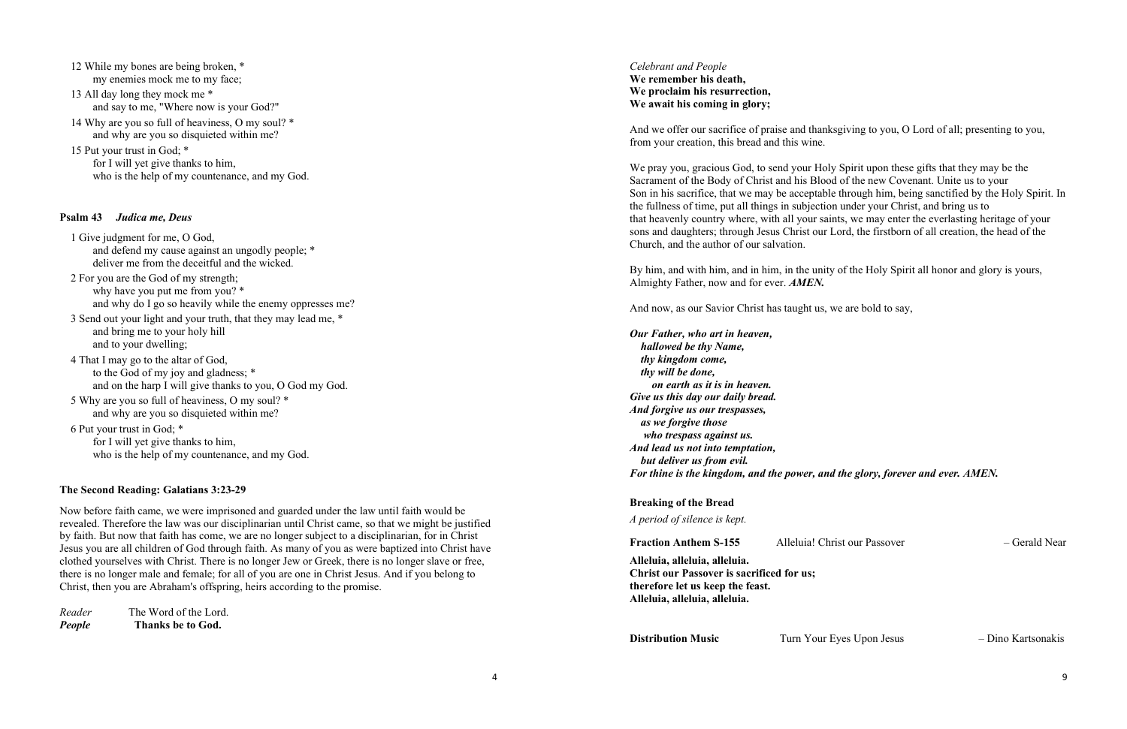- 12 While my bones are being broken, \* my enemies mock me to my face;
- 13 All day long they mock me \* and say to me, "Where now is your God?"
- 14 Why are you so full of heaviness, O my soul? \* and why are you so disquieted within me?

15 Put your trust in God; \* for I will yet give thanks to him, who is the help of my countenance, and my God.

# Psalm 43 Judica me, Deus

1 Give judgment for me, O God, and defend my cause against an ungodly people; \* deliver me from the deceitful and the wicked.

- 2 For you are the God of my strength; why have you put me from you? \* and why do I go so heavily while the enemy oppresses me?
- 3 Send out your light and your truth, that they may lead me, \* and bring me to your holy hill and to your dwelling;
- 4 That I may go to the altar of God, to the God of my joy and gladness; \* and on the harp I will give thanks to you, O God my God.
- 5 Why are you so full of heaviness, O my soul? \* and why are you so disquieted within me?

Reader The Word of the Lord. People Thanks be to God.

We remember his death, We proclaim his resurrection, We await his coming in glory;

6 Put your trust in God; \* for I will yet give thanks to him, who is the help of my countenance, and my God.

# The Second Reading: Galatians 3:23-29

Now before faith came, we were imprisoned and guarded under the law until faith would be revealed. Therefore the law was our disciplinarian until Christ came, so that we might be justified by faith. But now that faith has come, we are no longer subject to a disciplinarian, for in Christ Jesus you are all children of God through faith. As many of you as were baptized into Christ have clothed yourselves with Christ. There is no longer Jew or Greek, there is no longer slave or free, there is no longer male and female; for all of you are one in Christ Jesus. And if you belong to Christ, then you are Abraham's offspring, heirs according to the promise.

# Celebrant and People

And we offer our sacrifice of praise and thanksgiving to you, O Lord of all; presenting to you, from your creation, this bread and this wine.

We pray you, gracious God, to send your Holy Spirit upon these gifts that they may be the Sacrament of the Body of Christ and his Blood of the new Covenant. Unite us to your Son in his sacrifice, that we may be acceptable through him, being sanctified by the Holy Spirit. In the fullness of time, put all things in subjection under your Christ, and bring us to that heavenly country where, with all your saints, we may enter the everlasting heritage of your sons and daughters; through Jesus Christ our Lord, the firstborn of all creation, the head of the Church, and the author of our salvation.

By him, and with him, and in him, in the unity of the Holy Spirit all honor and glory is yours, Almighty Father, now and for ever. AMEN.

And now, as our Savior Christ has taught us, we are bold to say,

Our Father, who art in heaven, hallowed be thy Name, thy kingdom come, thy will be done, on earth as it is in heaven. Give us this day our daily bread. And forgive us our trespasses, as we forgive those who trespass against us. And lead us not into temptation, but deliver us from evil. For thine is the kingdom, and the power, and the glory, forever and ever. AMEN.

### Breaking of the Bread

A period of silence is kept.

Fraction Anthem S-155 Alleluia! Christ our Passover – Gerald Near

Alleluia, alleluia, alleluia. Christ our Passover is sacrificed for us; therefore let us keep the feast. Alleluia, alleluia, alleluia.

Distribution Music Turn Your Eyes Upon Jesus – Dino Kartsonakis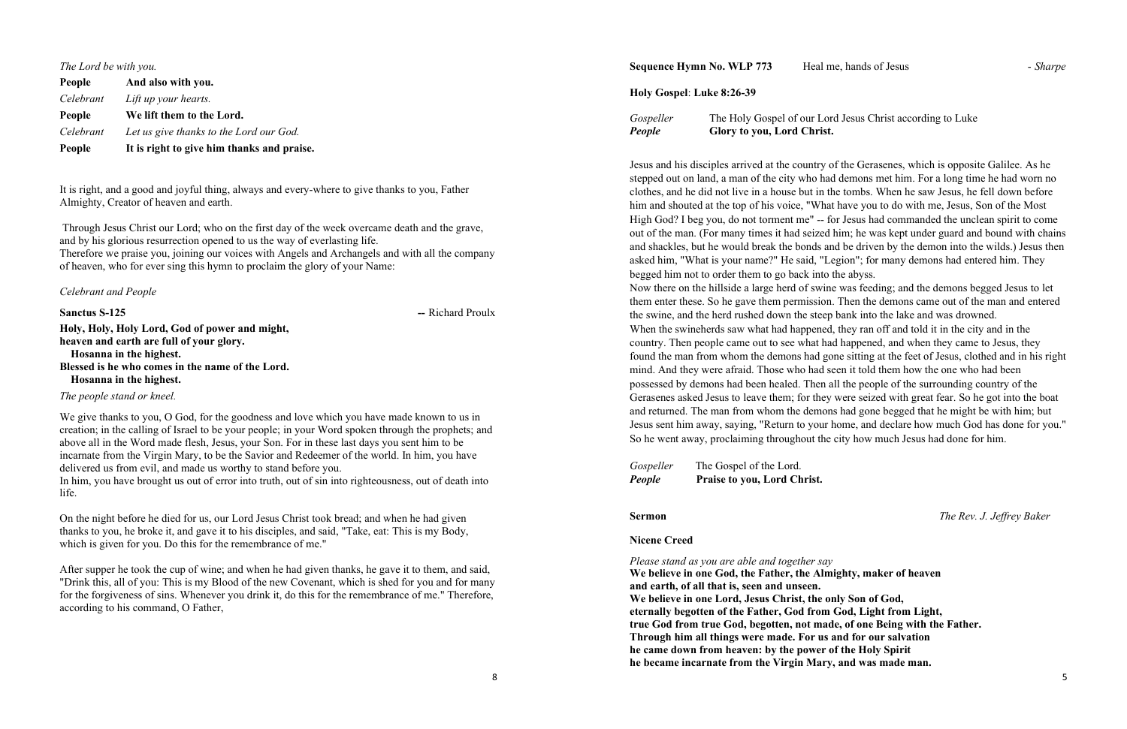ord Jesus Christ according to Luke

Sermon The Rev. J. Jeffrey Baker

# The Lord be with you.

| <b>People</b> | And also with you.                         |
|---------------|--------------------------------------------|
| Celebrant     | Lift up your hearts.                       |
| People        | We lift them to the Lord.                  |
| Celebrant     | Let us give thanks to the Lord our God.    |
| People        | It is right to give him thanks and praise. |

It is right, and a good and joyful thing, always and every-where to give thanks to you, Father Almighty, Creator of heaven and earth.

 Through Jesus Christ our Lord; who on the first day of the week overcame death and the grave, and by his glorious resurrection opened to us the way of everlasting life. Therefore we praise you, joining our voices with Angels and Archangels and with all the company of heaven, who for ever sing this hymn to proclaim the glory of your Name:

We give thanks to you, O God, for the goodness and love which you have made known to us in creation; in the calling of Israel to be your people; in your Word spoken through the prophets; and above all in the Word made flesh, Jesus, your Son. For in these last days you sent him to be incarnate from the Virgin Mary, to be the Savior and Redeemer of the world. In him, you have delivered us from evil, and made us worthy to stand before you.

Celebrant and People

Sanctus S-125 -- Richard Proulx

Holy, Holy, Holy Lord, God of power and might, heaven and earth are full of your glory. Hosanna in the highest. Blessed is he who comes in the name of the Lord. Hosanna in the highest.

The people stand or kneel.

In him, you have brought us out of error into truth, out of sin into righteousness, out of death into life.

On the night before he died for us, our Lord Jesus Christ took bread; and when he had given thanks to you, he broke it, and gave it to his disciples, and said, "Take, eat: This is my Body, which is given for you. Do this for the remembrance of me."

After supper he took the cup of wine; and when he had given thanks, he gave it to them, and said, "Drink this, all of you: This is my Blood of the new Covenant, which is shed for you and for many for the forgiveness of sins. Whenever you drink it, do this for the remembrance of me." Therefore, according to his command, O Father,

### Sequence Hymn No. WLP 773 Heal me, hands of Jesus - Sharpe

### Holy Gospel: Luke 8:26-39

| Gospeller | The Holy Gospel of our Lord |
|-----------|-----------------------------|
| People    | Glory to you, Lord Christ.  |

Jesus and his disciples arrived at the country of the Gerasenes, which is opposite Galilee. As he stepped out on land, a man of the city who had demons met him. For a long time he had worn no clothes, and he did not live in a house but in the tombs. When he saw Jesus, he fell down before him and shouted at the top of his voice, "What have you to do with me, Jesus, Son of the Most High God? I beg you, do not torment me" -- for Jesus had commanded the unclean spirit to come out of the man. (For many times it had seized him; he was kept under guard and bound with chains and shackles, but he would break the bonds and be driven by the demon into the wilds.) Jesus then asked him, "What is your name?" He said, "Legion"; for many demons had entered him. They begged him not to order them to go back into the abyss. Now there on the hillside a large herd of swine was feeding; and the demons begged Jesus to let them enter these. So he gave them permission. Then the demons came out of the man and entered the swine, and the herd rushed down the steep bank into the lake and was drowned. When the swineherds saw what had happened, they ran off and told it in the city and in the country. Then people came out to see what had happened, and when they came to Jesus, they found the man from whom the demons had gone sitting at the feet of Jesus, clothed and in his right mind. And they were afraid. Those who had seen it told them how the one who had been possessed by demons had been healed. Then all the people of the surrounding country of the Gerasenes asked Jesus to leave them; for they were seized with great fear. So he got into the boat and returned. The man from whom the demons had gone begged that he might be with him; but Jesus sent him away, saying, "Return to your home, and declare how much God has done for you." So he went away, proclaiming throughout the city how much Jesus had done for him.

| People    | Praise to you, Lord Christ. |
|-----------|-----------------------------|
| Gospeller | The Gospel of the Lord.     |

# Nicene Creed

Please stand as you are able and together say We believe in one God, the Father, the Almighty, maker of heaven and earth, of all that is, seen and unseen. We believe in one Lord, Jesus Christ, the only Son of God, eternally begotten of the Father, God from God, Light from Light, true God from true God, begotten, not made, of one Being with the Father. Through him all things were made. For us and for our salvation he came down from heaven: by the power of the Holy Spirit he became incarnate from the Virgin Mary, and was made man.